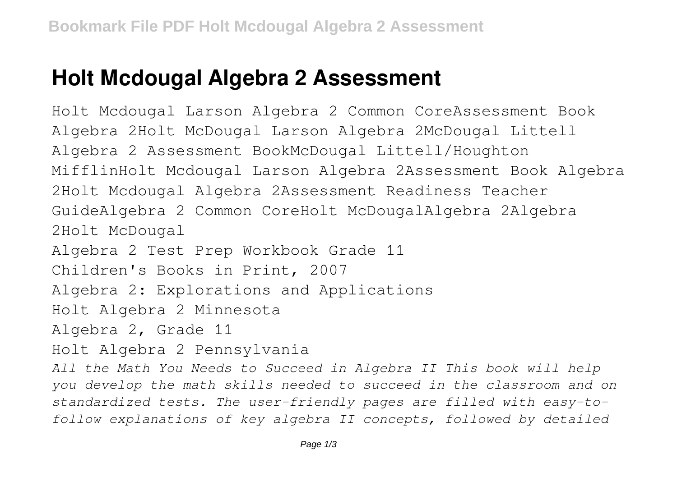## **Holt Mcdougal Algebra 2 Assessment**

Holt Mcdougal Larson Algebra 2 Common CoreAssessment Book Algebra 2Holt McDougal Larson Algebra 2McDougal Littell Algebra 2 Assessment BookMcDougal Littell/Houghton MifflinHolt Mcdougal Larson Algebra 2Assessment Book Algebra 2Holt Mcdougal Algebra 2Assessment Readiness Teacher GuideAlgebra 2 Common CoreHolt McDougalAlgebra 2Algebra 2Holt McDougal Algebra 2 Test Prep Workbook Grade 11 Children's Books in Print, 2007 Algebra 2: Explorations and Applications Holt Algebra 2 Minnesota Algebra 2, Grade 11 Holt Algebra 2 Pennsylvania *All the Math You Needs to Succeed in Algebra II This book will help you develop the math skills needed to succeed in the classroom and on standardized tests. The user-friendly pages are filled with easy-tofollow explanations of key algebra II concepts, followed by detailed*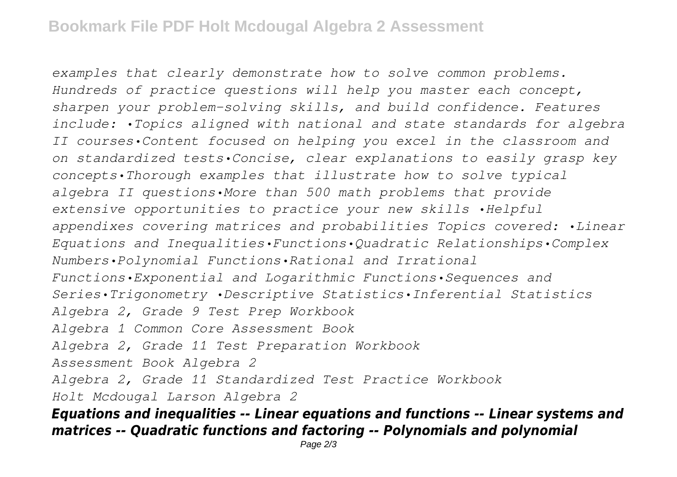*examples that clearly demonstrate how to solve common problems. Hundreds of practice questions will help you master each concept, sharpen your problem-solving skills, and build confidence. Features include: •Topics aligned with national and state standards for algebra II courses•Content focused on helping you excel in the classroom and on standardized tests•Concise, clear explanations to easily grasp key concepts•Thorough examples that illustrate how to solve typical algebra II questions•More than 500 math problems that provide extensive opportunities to practice your new skills •Helpful appendixes covering matrices and probabilities Topics covered: •Linear Equations and Inequalities•Functions•Quadratic Relationships•Complex Numbers•Polynomial Functions•Rational and Irrational Functions•Exponential and Logarithmic Functions•Sequences and Series•Trigonometry •Descriptive Statistics•Inferential Statistics Algebra 2, Grade 9 Test Prep Workbook Algebra 1 Common Core Assessment Book Algebra 2, Grade 11 Test Preparation Workbook Assessment Book Algebra 2 Algebra 2, Grade 11 Standardized Test Practice Workbook Holt Mcdougal Larson Algebra 2 Equations and inequalities -- Linear equations and functions -- Linear systems and matrices -- Quadratic functions and factoring -- Polynomials and polynomial*